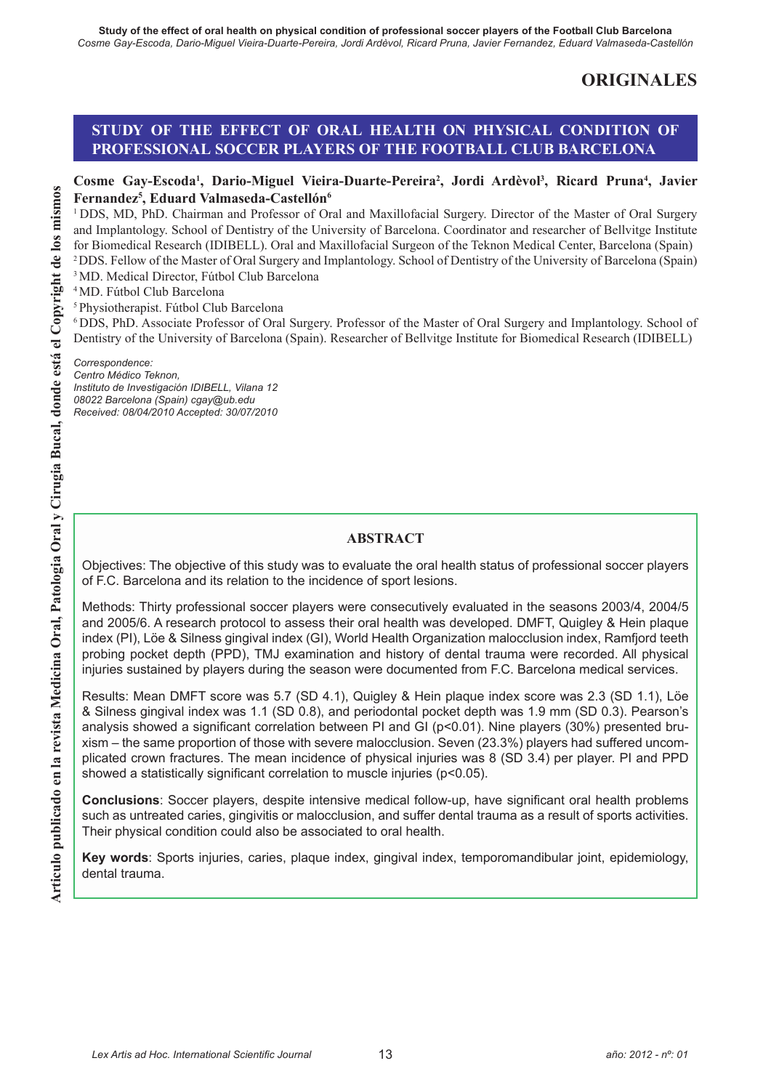# **ORIGINALES**

## **STUDY OF THE EFFECT OF ORAL HEALTH ON PHYSICAL CONDITION OF PROFESSIONAL SOCCER PLAYERS OF THE FOOTBALL CLUB BARCELONA**

### Cosme Gay-Escoda<sup>1</sup>, Dario-Miguel Vieira-Duarte-Pereira<sup>2</sup>, Jordi Ardèvol<sup>3</sup>, Ricard Pruna<sup>4</sup>, Javier **Fernandez5 , Eduard Valmaseda-Castellón6**

1 DDS, MD, PhD. Chairman and Professor of Oral and Maxillofacial Surgery. Director of the Master of Oral Surgery and Implantology. School of Dentistry of the University of Barcelona. Coordinator and researcher of Bellvitge Institute for Biomedical Research (IDIBELL). Oral and Maxillofacial Surgeon of the Teknon Medical Center, Barcelona (Spain) 2 DDS. Fellow of the Master of Oral Surgery and Implantology. School of Dentistry of the University of Barcelona (Spain) <sup>3</sup> MD. Medical Director, Fútbol Club Barcelona

4 MD. Fútbol Club Barcelona

5 Physiotherapist. Fútbol Club Barcelona

6 DDS, PhD. Associate Professor of Oral Surgery. Professor of the Master of Oral Surgery and Implantology. School of Dentistry of the University of Barcelona (Spain). Researcher of Bellvitge Institute for Biomedical Research (IDIBELL)

*Correspondence:*

*Centro Médico Teknon, Instituto de Investigación IDIBELL, Vilana 12 08022 Barcelona (Spain) cgay@ub.edu Received: 08/04/2010 Accepted: 30/07/2010*

## **ABSTRACT**

Objectives: The objective of this study was to evaluate the oral health status of professional soccer players of F.C. Barcelona and its relation to the incidence of sport lesions.

Methods: Thirty professional soccer players were consecutively evaluated in the seasons 2003/4, 2004/5 and 2005/6. A research protocol to assess their oral health was developed. DMFT, Quigley & Hein plaque index (PI), Löe & Silness gingival index (GI), World Health Organization malocclusion index, Ramfjord teeth probing pocket depth (PPD), TMJ examination and history of dental trauma were recorded. All physical injuries sustained by players during the season were documented from F.C. Barcelona medical services.

Results: Mean DMFT score was 5.7 (SD 4.1), Quigley & Hein plaque index score was 2.3 (SD 1.1), Löe & Silness gingival index was 1.1 (SD 0.8), and periodontal pocket depth was 1.9 mm (SD 0.3). Pearson's analysis showed a significant correlation between PI and GI ( $p$ <0.01). Nine players (30%) presented bruxism – the same proportion of those with severe malocclusion. Seven (23.3%) players had suffered uncomplicated crown fractures. The mean incidence of physical injuries was 8 (SD 3.4) per player. PI and PPD showed a statistically significant correlation to muscle injuries ( $p$ <0.05).

Conclusions: Soccer players, despite intensive medical follow-up, have significant oral health problems such as untreated caries, gingivitis or malocclusion, and suffer dental trauma as a result of sports activities. Their physical condition could also be associated to oral health.

**Key words**: Sports injuries, caries, plaque index, gingival index, temporomandibular joint, epidemiology, dental trauma.

 $\mathbf{S}$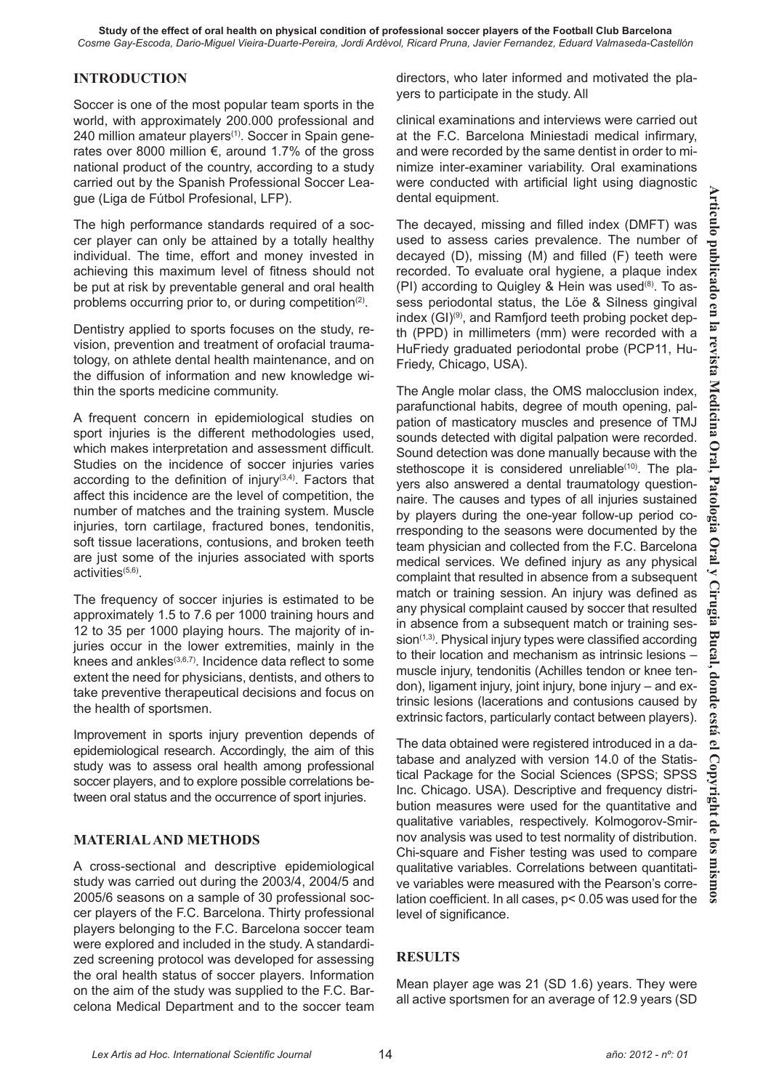## **INTRODUCTION**

Soccer is one of the most popular team sports in the world, with approximately 200.000 professional and 240 million amateur players<sup>(1)</sup>. Soccer in Spain generates over 8000 million €, around 1.7% of the gross national product of the country, according to a study carried out by the Spanish Professional Soccer League (Liga de Fútbol Profesional, LFP).

The high performance standards required of a soccer player can only be attained by a totally healthy individual. The time, effort and money invested in achieving this maximum level of fitness should not be put at risk by preventable general and oral health problems occurring prior to, or during competition<sup>(2)</sup>.

Dentistry applied to sports focuses on the study, revision, prevention and treatment of orofacial traumatology, on athlete dental health maintenance, and on the diffusion of information and new knowledge within the sports medicine community.

A frequent concern in epidemiological studies on sport injuries is the different methodologies used, which makes interpretation and assessment difficult. Studies on the incidence of soccer injuries varies according to the definition of injury $(3,4)$ . Factors that affect this incidence are the level of competition, the number of matches and the training system. Muscle injuries, torn cartilage, fractured bones, tendonitis, soft tissue lacerations, contusions, and broken teeth are just some of the injuries associated with sports activities<sup>(5,6)</sup>.

The frequency of soccer injuries is estimated to be approximately 1.5 to 7.6 per 1000 training hours and 12 to 35 per 1000 playing hours. The majority of injuries occur in the lower extremities, mainly in the knees and ankles $(3,6,7)$ . Incidence data reflect to some extent the need for physicians, dentists, and others to take preventive therapeutical decisions and focus on the health of sportsmen.

Improvement in sports injury prevention depends of epidemiological research. Accordingly, the aim of this study was to assess oral health among professional soccer players, and to explore possible correlations between oral status and the occurrence of sport injuries.

#### **MATERIAL AND METHODS**

A cross-sectional and descriptive epidemiological study was carried out during the 2003/4, 2004/5 and 2005/6 seasons on a sample of 30 professional soccer players of the F.C. Barcelona. Thirty professional players belonging to the F.C. Barcelona soccer team were explored and included in the study. A standardized screening protocol was developed for assessing the oral health status of soccer players. Information on the aim of the study was supplied to the F.C. Barcelona Medical Department and to the soccer team directors, who later informed and motivated the players to participate in the study. All

clinical examinations and interviews were carried out at the F.C. Barcelona Miniestadi medical infirmary, and were recorded by the same dentist in order to minimize inter-examiner variability. Oral examinations were conducted with artificial light using diagnostic dental equipment.

The decayed, missing and filled index (DMFT) was used to assess caries prevalence. The number of decayed (D), missing (M) and filled  $(F)$  teeth were recorded. To evaluate oral hygiene, a plaque index (PI) according to Quigley & Hein was used $(8)$ . To assess periodontal status, the Löe & Silness gingival index (GI)<sup>(9)</sup>, and Ramfjord teeth probing pocket depth (PPD) in millimeters (mm) were recorded with a HuFriedy graduated periodontal probe (PCP11, Hu-Friedy, Chicago, USA).

The Angle molar class, the OMS malocclusion index, parafunctional habits, degree of mouth opening, palpation of masticatory muscles and presence of TMJ sounds detected with digital palpation were recorded. Sound detection was done manually because with the stethoscope it is considered unreliable<sup>(10)</sup>. The players also answered a dental traumatology questionnaire. The causes and types of all injuries sustained by players during the one-year follow-up period corresponding to the seasons were documented by the team physician and collected from the F.C. Barcelona medical services. We defined injury as any physical complaint that resulted in absence from a subsequent match or training session. An injury was defined as any physical complaint caused by soccer that resulted in absence from a subsequent match or training session $(1,3)$ . Physical injury types were classified according to their location and mechanism as intrinsic lesions – muscle injury, tendonitis (Achilles tendon or knee tendon), ligament injury, joint injury, bone injury – and extrinsic lesions (lacerations and contusions caused by extrinsic factors, particularly contact between players).

The data obtained were registered introduced in a database and analyzed with version 14.0 of the Statistical Package for the Social Sciences (SPSS; SPSS Inc. Chicago. USA). Descriptive and frequency distribution measures were used for the quantitative and qualitative variables, respectively. Kolmogorov-Smirnov analysis was used to test normality of distribution. Chi-square and Fisher testing was used to compare qualitative variables. Correlations between quantitative variables were measured with the Pearson's correlation coefficient. In all cases,  $p < 0.05$  was used for the level of significance.

## **RESULTS**

Mean player age was 21 (SD 1.6) years. They were all active sportsmen for an average of 12.9 years (SD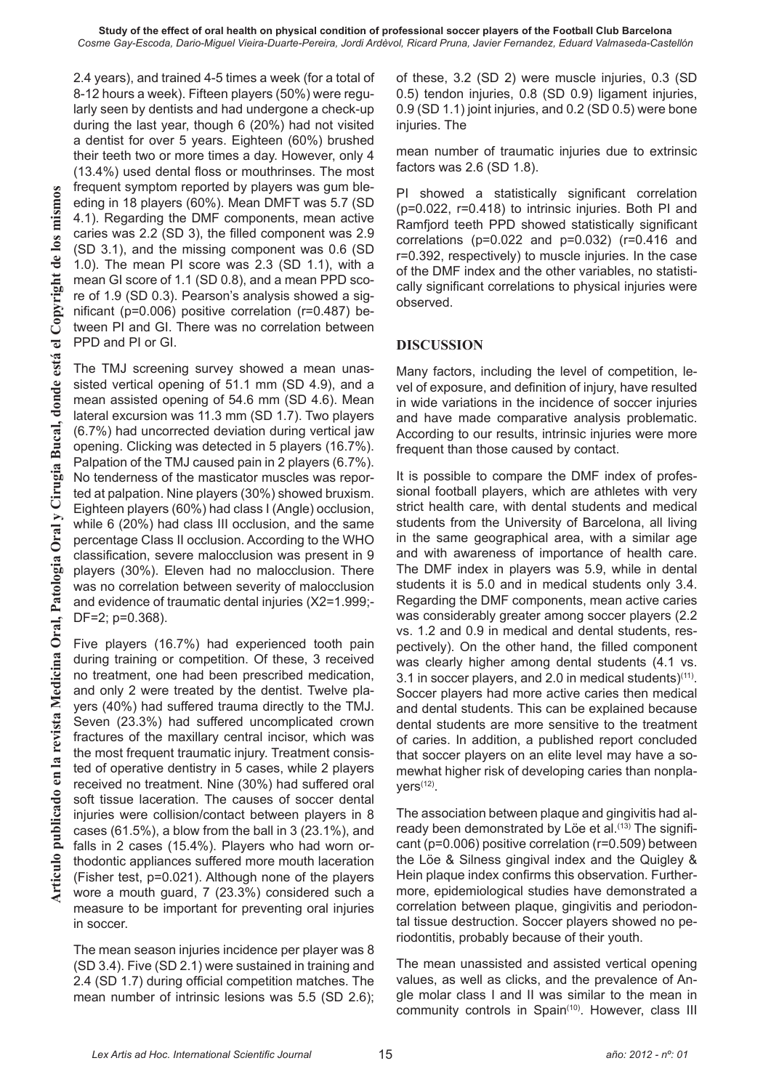2.4 years), and trained 4-5 times a week (for a total of 8-12 hours a week). Fifteen players (50%) were regularly seen by dentists and had undergone a check-up during the last year, though 6 (20%) had not visited a dentist for over 5 years. Eighteen (60%) brushed their teeth two or more times a day. However, only 4  $(13.4\%)$  used dental floss or mouthrinses. The most frequent symptom reported by players was gum bleeding in 18 players (60%). Mean DMFT was 5.7 (SD 4.1). Regarding the DMF components, mean active caries was 2.2 (SD 3), the filled component was 2.9 (SD 3.1), and the missing component was 0.6 (SD 1.0). The mean PI score was 2.3 (SD 1.1), with a mean GI score of 1.1 (SD 0.8), and a mean PPD score of 1.9 (SD 0.3). Pearson's analysis showed a significant (p=0.006) positive correlation ( $r=0.487$ ) between PI and GI. There was no correlation between PPD and PI or GI.

The TMJ screening survey showed a mean unassisted vertical opening of 51.1 mm (SD 4.9), and a mean assisted opening of 54.6 mm (SD 4.6). Mean lateral excursion was 11.3 mm (SD 1.7). Two players (6.7%) had uncorrected deviation during vertical jaw opening. Clicking was detected in 5 players (16.7%). Palpation of the TMJ caused pain in 2 players (6.7%). No tenderness of the masticator muscles was reported at palpation. Nine players (30%) showed bruxism. Eighteen players (60%) had class I (Angle) occlusion, while 6 (20%) had class III occlusion, and the same percentage Class II occlusion. According to the WHO classification, severe malocclusion was present in 9 players (30%). Eleven had no malocclusion. There was no correlation between severity of malocclusion and evidence of traumatic dental injuries  $(X2=1.999; DF=2$ ;  $p=0.368$ ).

Five players (16.7%) had experienced tooth pain during training or competition. Of these, 3 received no treatment, one had been prescribed medication, and only 2 were treated by the dentist. Twelve players (40%) had suffered trauma directly to the TMJ. Seven (23.3%) had suffered uncomplicated crown fractures of the maxillary central incisor, which was the most frequent traumatic injury. Treatment consisted of operative dentistry in 5 cases, while 2 players received no treatment. Nine (30%) had suffered oral soft tissue laceration. The causes of soccer dental injuries were collision/contact between players in 8 cases (61.5%), a blow from the ball in 3 (23.1%), and falls in 2 cases (15.4%). Players who had worn orthodontic appliances suffered more mouth laceration (Fisher test,  $p=0.021$ ). Although none of the players wore a mouth guard, 7 (23.3%) considered such a measure to be important for preventing oral injuries in soccer.

The mean season injuries incidence per player was 8 (SD 3.4). Five (SD 2.1) were sustained in training and 2.4 (SD 1.7) during official competition matches. The mean number of intrinsic lesions was 5.5 (SD 2.6); of these, 3.2 (SD 2) were muscle injuries, 0.3 (SD 0.5) tendon injuries, 0.8 (SD 0.9) ligament injuries, 0.9 (SD 1.1) joint injuries, and 0.2 (SD 0.5) were bone injuries. The

mean number of traumatic injuries due to extrinsic factors was 2.6 (SD 1.8).

PI showed a statistically significant correlation  $(p=0.022, r=0.418)$  to intrinsic injuries. Both PI and Ramfjord teeth PPD showed statistically significant correlations (p=0.022 and p=0.032) ( $r=0.416$  and  $r=0.392$ , respectively) to muscle injuries. In the case of the DMF index and the other variables, no statistically significant correlations to physical injuries were observed.

#### **DISCUSSION**

Many factors, including the level of competition, level of exposure, and definition of injury, have resulted in wide variations in the incidence of soccer injuries and have made comparative analysis problematic. According to our results, intrinsic injuries were more frequent than those caused by contact.

It is possible to compare the DMF index of professional football players, which are athletes with very strict health care, with dental students and medical students from the University of Barcelona, all living in the same geographical area, with a similar age and with awareness of importance of health care. The DMF index in players was 5.9, while in dental students it is 5.0 and in medical students only 3.4. Regarding the DMF components, mean active caries was considerably greater among soccer players (2.2 vs. 1.2 and 0.9 in medical and dental students, respectively). On the other hand, the filled component was clearly higher among dental students (4.1 vs. 3.1 in soccer players, and 2.0 in medical students)(11). Soccer players had more active caries then medical and dental students. This can be explained because dental students are more sensitive to the treatment of caries. In addition, a published report concluded that soccer players on an elite level may have a somewhat higher risk of developing caries than nonpla $vers^{(12)}$ .

The association between plaque and gingivitis had already been demonstrated by Löe et al.<sup>(13)</sup> The significant (p=0.006) positive correlation ( $r=0.509$ ) between the Löe & Silness gingival index and the Quigley & Hein plaque index confirms this observation. Furthermore, epidemiological studies have demonstrated a correlation between plaque, gingivitis and periodontal tissue destruction. Soccer players showed no periodontitis, probably because of their youth.

The mean unassisted and assisted vertical opening values, as well as clicks, and the prevalence of Angle molar class I and II was similar to the mean in community controls in Spain<sup>(10)</sup>. However, class III

 $\mathbf{S}$